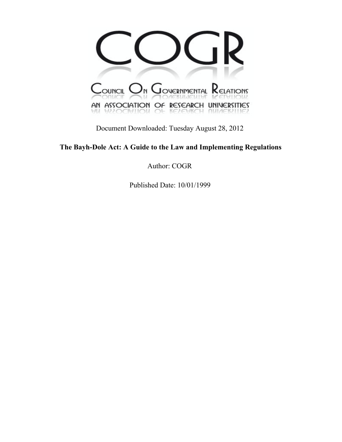

Document Downloaded: Tuesday August 28, 2012

**The Bayh-Dole Act: A Guide to the Law and Implementing Regulations**

Author: COGR

Published Date: 10/01/1999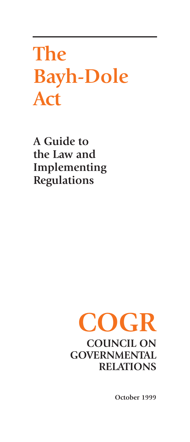**The Bayh-Dole Act**

**A Guide to the Law and Implementing Regulations**

# **COGR COUNCIL ON GOVERNMENTAL RELATIONS**

**October 1999**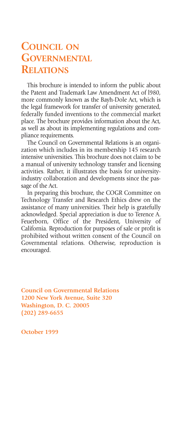# **COUNCIL ON GOVERNMENTAL RELATIONS**

This brochure is intended to inform the public about the Patent and Trademark Law Amendment Act of l980, more commonly known as the Bayh-Dole Act, which is the legal framework for transfer of university generated, federally funded inventions to the commercial market place. The brochure provides information about the Act, as well as about its implementing regulations and compliance requirements.

The Council on Governmental Relations is an organization which includes in its membership 145 research intensive universities. This brochure does not claim to be a manual of university technology transfer and licensing activities. Rather, it illustrates the basis for universityindustry collaboration and developments since the passage of the Act.

In preparing this brochure, the COGR Committee on Technology Transfer and Research Ethics drew on the assistance of many universities. Their help is gratefully acknowledged. Special appreciation is due to Terence A. Feuerborn, Office of the President, University of California. Reproduction for purposes of sale or profit is prohibited without written consent of the Council on Governmental relations. Otherwise, reproduction is encouraged.

**Council on Governmental Relations 1200 New York Avenue, Suite 320 Washington, D. C. 20005 (202) 289-6655**

**October 1999**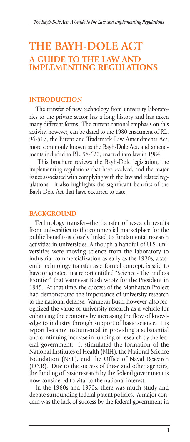# **THE BAYH-DOLE ACT A GUIDE TO THE LAW AND IMPLEMENTING REGULATIONS**

#### **INTRODUCTION**

The transfer of new technology from university laboratories to the private sector has a long history and has taken many different forms. The current national emphasis on this activity, however, can be dated to the 1980 enactment of P.L. 96-517, the Patent and Trademark Law Amendments Act, more commonly known as the Bayh-Dole Act, and amendments included in P.L. 98-620, enacted into law in 1984.

This brochure reviews the Bayh-Dole legislation, the implementing regulations that have evolved, and the major issues associated with complying with the law and related regulations. It also highlights the significant benefits of the Bayh-Dole Act that have occurred to date.

#### **BACKGROUND**

Technology transfer--the transfer of research results from universities to the commercial marketplace for the public benefit--is closely linked to fundamental research activities in universities. Although a handful of U.S. universities were moving science from the laboratory to industrial commercialization as early as the 1920s, academic technology transfer as a formal concept, is said to have originated in a report entitled "Science - The Endless Frontier" that Vannevar Bush wrote for the President in 1945. At that time, the success of the Manhattan Project had demonstrated the importance of university research to the national defense. Vannevar Bush, however, also recognized the value of university research as a vehicle for enhancing the economy by increasing the flow of knowledge to industry through support of basic science. His report became instrumental in providing a substantial and continuing increase in funding of research by the federal government. It stimulated the formation of the National Institutes of Health (NIH), the National Science Foundation (NSF), and the Office of Naval Research (ONR). Due to the success of these and other agencies, the funding of basic research by the federal government is now considered to vital to the national interest.

In the 1960s and 1970s, there was much study and debate surrounding federal patent policies. A major concern was the lack of success by the federal government in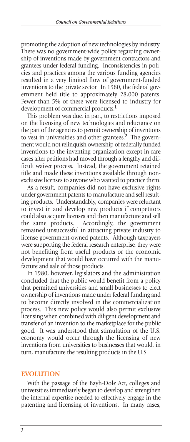promoting the adoption of new technologies by industry. There was no government-wide policy regarding ownership of inventions made by government contractors and grantees under federal funding. Inconsistencies in policies and practices among the various funding agencies resulted in a very limited flow of government-funded inventions to the private sector. In 1980, the federal government held title to approximately 28,000 patents. Fewer than 5% of these were licensed to industry for development of commercial products.**<sup>1</sup>**

This problem was due, in part, to restrictions imposed on the licensing of new technologies and reluctance on the part of the agencies to permit ownership of inventions to vest in universities and other grantees.**<sup>2</sup>** The government would not relinquish ownership of federally funded inventions to the inventing organization except in rare cases after petitions had moved through a lengthy and difficult waiver process. Instead, the government retained title and made these inventions available through nonexclusive licenses to anyone who wanted to practice them.

As a result, companies did not have exclusive rights under government patents to manufacture and sell resulting products. Understandably, companies were reluctant to invest in and develop new products if competitors could also acquire licenses and then manufacture and sell the same products. Accordingly, the government remained unsuccessful in attracting private industry to license government-owned patents. Although taxpayers were supporting the federal research enterprise, they were not benefiting from useful products or the economic development that would have occurred with the manufacture and sale of those products.

In 1980, however, legislators and the administration concluded that the public would benefit from a policy that permitted universities and small businesses to elect ownership of inventions made under federal funding and to become directly involved in the commercialization process. This new policy would also permit exclusive licensing when combined with diligent development and transfer of an invention to the marketplace for the public good. It was understood that stimulation of the U.S. economy would occur through the licensing of new inventions from universities to businesses that would, in turn, manufacture the resulting products in the U.S.

#### **EVOLUTION**

With the passage of the Bayh-Dole Act, colleges and universities immediately began to develop and strengthen the internal expertise needed to effectively engage in the patenting and licensing of inventions. In many cases,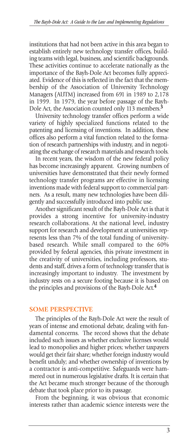institutions that had not been active in this area began to establish entirely new technology transfer offices, building teams with legal, business, and scientific backgrounds. These activities continue to accelerate nationally as the importance of the Bayh-Dole Act becomes fully appreciated. Evidence of this is reflected in the fact that the membership of the Association of University Technology Managers (AUTM) increased from 691 in 1989 to 2,178 in 1999. In 1979, the year before passage of the Bayh-Dole Act, the Association counted only 113 members.**<sup>3</sup>**

University technology transfer offices perform a wide variety of highly specialized functions related to the patenting and licensing of inventions. In addition, these offices also perform a vital function related to the formation of research partnerships with industry, and in negotiating the exchange of research materials and research tools.

In recent years, the wisdom of the new federal policy has become increasingly apparent. Growing numbers of universities have demonstrated that their newly formed technology transfer programs are effective in licensing inventions made with federal support to commercial partners. As a result, many new technologies have been diligently and successfully introduced into public use.

Another significant result of the Bayh-Dole Act is that it provides a strong incentive for university-industry research collaborations. At the national level, industry support for research and development at universities represents less than 7% of the total funding of universitybased research. While small compared to the 60% provided by federal agencies, this private investment in the creativity of universities, including professors, students and staff, drives a form of technology transfer that is increasingly important to industry. The investment by industry rests on a secure footing because it is based on the principles and provisions of the Bayh-Dole Act.**<sup>4</sup>**

#### **SOME PERSPECTIVE**

The principles of the Bayh-Dole Act were the result of years of intense and emotional debate, dealing with fundamental concerns. The record shows that the debate included such issues as whether exclusive licenses would lead to monopolies and higher prices; whether taxpayers would get their fair share; whether foreign industry would benefit unduly; and whether ownership of inventions by a contractor is anti-competitive. Safeguards were hammered out in numerous legislative drafts. It is certain that the Act became much stronger because of the thorough debate that took place prior to its passage.

From the beginning, it was obvious that economic interests rather than academic science interests were the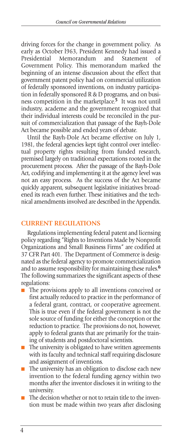driving forces for the change in government policy. As early as October l963, President Kennedy had issued a Memorandum and Statement of Government Policy. This memorandum marked the beginning of an intense discussion about the effect that government patent policy had on commercial utilization of federally sponsored inventions, on industry participation in federally sponsored R & D programs, and on business competition in the marketplace.**<sup>5</sup>** It was not until industry, academe and the government recognized that their individual interests could be reconciled in the pursuit of commercialization that passage of the Bayh-Dole Act became possible and ended years of debate.

Until the Bayh-Dole Act became effective on July 1, 1981, the federal agencies kept tight control over intellectual property rights resulting from funded research, premised largely on traditional expectations rooted in the procurement process. After the passage of the Bayh-Dole Act, codifying and implementing it at the agency level was not an easy process. As the success of the Act became quickly apparent, subsequent legislative initiatives broadened its reach even further. These initiatives and the technical amendments involved are described in the Appendix.

#### **CURRENT REGULATIONS**

Regulations implementing federal patent and licensing policy regarding "Rights to Inventions Made by Nonprofit Organizations and Small Business Firms" are codified at 37 CFR Part 401. The Department of Commerce is designated as the federal agency to promote commercialization and to assume responsibility for maintaining these rules.**<sup>6</sup>** The following summarizes the significant aspects of these regulations:

- The provisions apply to all inventions conceived or first actually reduced to practice in the performance of a federal grant, contract, or cooperative agreement. This is true even if the federal government is not the sole source of funding for either the conception or the reduction to practice. The provisions do not, however, apply to federal grants that are primarily for the training of students and postdoctoral scientists.
- The university is obligated to have written agreements with its faculty and technical staff requiring disclosure and assignment of inventions.
- The university has an obligation to disclose each new invention to the federal funding agency within two months after the inventor discloses it in writing to the university.
- The decision whether or not to retain title to the invention must be made within two years after disclosing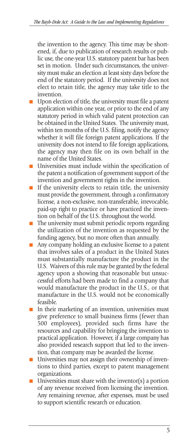the invention to the agency. This time may be shortened, if, due to publication of research results or public use, the one-year U.S. statutory patent bar has been set in motion. Under such circumstances, the university must make an election at least sixty days before the end of the statutory period. If the university does not elect to retain title, the agency may take title to the invention.

- Upon election of title, the university must file a patent application within one year, or prior to the end of any statutory period in which valid patent protection can be obtained in the United States. The university must, within ten months of the U.S. filing, notify the agency whether it will file foreign patent applications. If the university does not intend to file foreign applications, the agency may then file on its own behalf in the name of the United States.
- Universities must include within the specification of the patent a notification of government support of the invention and government rights in the invention.
- If the university elects to retain title, the university must provide the government, through a confirmatory license, a non-exclusive, non-transferable, irrevocable, paid-up right to practice or have practiced the invention on behalf of the U.S. throughout the world.
- The university must submit periodic reports regarding the utilization of the invention as requested by the funding agency, but no more often than annually.
- Any company holding an exclusive license to a patent that involves sales of a product in the United States must substantially manufacture the product in the U.S. Waivers of this rule may be granted by the federal agency upon a showing that reasonable but unsuccessful efforts had been made to find a company that would manufacture the product in the U.S., or that manufacture in the U.S. would not be economically feasible.
- In their marketing of an invention, universities must give preference to small business firms (fewer than 500 employees), provided such firms have the resources and capability for bringing the invention to practical application. However, if a large company has also provided research support that led to the invention, that company may be awarded the license.
- Universities may not assign their ownership of inventions to third parties, except to patent management organizations.
- $\blacksquare$  Universities must share with the inventor(s) a portion of any revenue received from licensing the invention. Any remaining revenue, after expenses, must be used to support scientific research or education.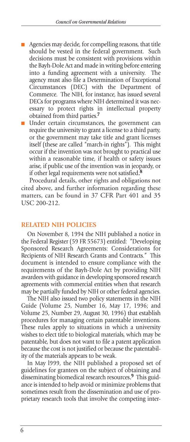- Agencies may decide, for compelling reasons, that title should be vested in the federal government. Such decisions must be consistent with provisions within the Bayh-Dole Act and made in writing before entering into a funding agreement with a university. The agency must also file a Determination of Exceptional Circumstances (DEC) with the Department of Commerce. The NIH, for instance, has issued several DECs for programs where NIH determined it was necessary to protect rights in intellectual property obtained from third parties.**<sup>7</sup>**
- Under certain circumstances, the government can require the university to grant a license to a third party, or the government may take title and grant licenses itself (these are called "march-in rights"). This might occur if the invention was not brought to practical use within a reasonable time, if health or safety issues arise, if public use of the invention was in jeopardy, or if other legal requirements were not satisfied..**<sup>8</sup>**

Procedural details, other rights and obligations not cited above, and further information regarding these matters, can be found in 37 CFR Part 401 and 35 USC 200-212.

#### **RELATED NIH POLICIES**

On November 8, 1994 the NIH published a notice in the Federal Register (59 FR 55673) entitled: "Developing Sponsored Research Agreements: Considerations for Recipients of NIH Research Grants and Contracts." This document is intended to ensure compliance with the requirements of the Bayh-Dole Act by providing NIH awardees with guidance in developing sponsored research agreements with commercial entities when that research may be partially funded by NIH or other federal agencies.

The NIH also issued two policy statements in the NIH Guide (Volume 25, Number 16, May 17, 1996; and Volume 25, Number 29, August 30, 1996) that establish procedures for managing certain patentable inventions. These rules apply to situations in which a university wishes to elect title to biological materials, which may be patentable, but does not want to file a patent application because the cost is not justified or because the patentability of the materials appears to be weak.

In May l999, the NIH published a proposed set of guidelines for grantees on the subject of obtaining and disseminating biomedical research resources..**<sup>9</sup>** This guidance is intended to help avoid or minimize problems that sometimes result from the dissemination and use of proprietary research tools that involve the competing inter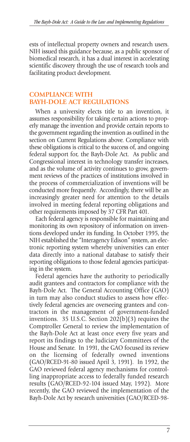ests of intellectual property owners and research users. NIH issued this guidance because, as a public sponsor of biomedical research, it has a dual interest in accelerating scientific discovery through the use of research tools and facilitating product development.

# **COMPLIANCE WITH BAYH-DOLE ACT REGULATIONS**

When a university elects title to an invention, it assumes responsibility for taking certain actions to properly manage the invention and provide certain reports to the government regarding the invention as outlined in the section on Current Regulations above. Compliance with these obligations is critical to the success of, and ongoing federal support for, the Bayh-Dole Act. As public and Congressional interest in technology transfer increases, and as the volume of activity continues to grow, government reviews of the practices of institutions involved in the process of commercialization of inventions will be conducted more frequently. Accordingly, there will be an increasingly greater need for attention to the details involved in meeting federal reporting obligations and other requirements imposed by 37 CFR Part 401.

Each federal agency is responsible for maintaining and monitoring its own repository of information on inventions developed under its funding. In October 1995, the NIH established the "Interagency Edison" system, an electronic reporting system whereby universities can enter data directly into a national database to satisfy their reporting obligations to those federal agencies participating in the system.

Federal agencies have the authority to periodically audit grantees and contractors for compliance with the Bayh-Dole Act. The General Accounting Office (GAO) in turn may also conduct studies to assess how effectively federal agencies are overseeing grantees and contractors in the management of government-funded inventions. 35 U.S.C. Section 202(b)(3) requires the Comptroller General to review the implementation of the Bayh-Dole Act at least once every five years and report its findings to the Judiciary Committees of the House and Senate. In 1991, the GAO focused its review on the licensing of federally owned inventions (GAO/RCED-91-80 issued April 3, 1991). In 1992, the GAO reviewed federal agency mechanisms for controlling inappropriate access to federally funded research results (GAO/RCED-92-104 issued May, 1992). More recently, the GAO reviewed the implementation of the Bayh-Dole Act by research universities (GAO/RCED-98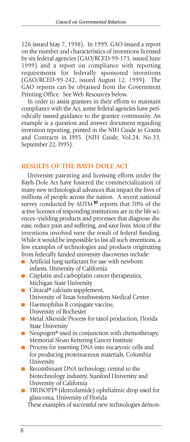126 issued May 7, 1998). In 1999, GAO issued a report on the number and characteristics of inventions licensed by six federal agencies (GAO/RCED-99-173, issued June 1999) and a report on compliance with reporting requirements for federally sponsored inventions (GAO/RCED-99-242, issued August 12, 1999). The GAO reports can be obtained from the Government Printing Office. See Web Resources below.

In order to assist grantees in their efforts to maintain compliance with the Act, some federal agencies have periodically issued guidance to the grantee community. An example is a question and answer document regarding invention reporting, printed in the NIH Guide to Grants and Contracts in l995. (NIH Guide, Vol.24, No.33, September 22, l995).

#### **RESULTS OF THE BAYH-DOLE ACT**

University patenting and licensing efforts under the Bayh-Dole Act have fostered the commercialization of many new technological advances that impact the lives of millions of people across the nation. A recent national survey conducted by AUTM**<sup>10</sup>** reports that 70% of the active licenses of responding institutions are in the life sciences--yielding products and processes that diagnose disease, reduce pain and suffering, and save lives. Most of the inventions involved were the result of federal funding. While it would be impossible to list all such inventions, a few examples of technologies and products originating from federally funded university discoveries include:

- Artificial lung surfactant for use with newborn infants, University of California
- Cisplatin and carboplatin cancer therapeutics, Michigan State University
- Citracal® calcium supplement, University of Texas Southwestern Medical Center
- Haemophilus B conjugate vaccine, University of Rochester
- Metal Alkoxide Process for taxol production, Florida State University
- Neupogen<sup>®</sup> used in conjunction with chemotherapy, Memorial Sloan Kettering Cancer Institute
- Process for inserting DNA into eucaryotic cells and for producing proteinaceous materials, Columbia University
- Recombinant DNA technology, central to the biotechnology industry, Stanford University and University of California
- TRUSOPT<sup>®</sup> (dorzolamide) ophthalmic drop used for glaucoma, University of Florida

These examples of successful new technologies demon-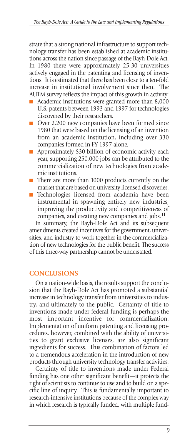strate that a strong national infrastructure to support technology transfer has been established at academic institutions across the nation since passage of the Bayh-Dole Act. In 1980 there were approximately 25-30 universities actively engaged in the patenting and licensing of inventions. It is estimated that there has been close to a ten-fold increase in institutional involvement since then. The AUTM survey reflects the impact of this growth in activity:

- Academic institutions were granted more than 8,000 U.S. patents between 1993 and 1997 for technologies discovered by their researchers.
- Over 2,200 new companies have been formed since 1980 that were based on the licensing of an invention from an academic institution, including over 330 companies formed in FY 1997 alone.
- Approximately \$30 billion of economic activity each year, supporting 250,000 jobs can be attributed to the commercialization of new technologies from academic institutions.
- There are more than 1000 products currently on the market that are based on university licensed discoveries.
- Technologies licensed from academia have been instrumental in spawning entirely new industries, improving the productivity and competitiveness of companies, and creating new companies and jobs.<sup>11</sup>

In summary, the Bayh-Dole Act and its subsequent amendments created incentives for the government, universities, and industry to work together in the commercialization of new technologies for the public benefit. The success of this three-way partnership cannot be understated.

#### **CONCLUSIONS**

On a nation-wide basis, the results support the conclusion that the Bayh-Dole Act has promoted a substantial increase in technology transfer from universities to industry, and ultimately to the public. Certainty of title to inventions made under federal funding is perhaps the most important incentive for commercialization. Implementation of uniform patenting and licensing procedures, however, combined with the ability of universities to grant exclusive licenses, are also significant ingredients for success. This combination of factors led to a tremendous acceleration in the introduction of new products through university technology transfer activities.

Certainty of title to inventions made under Federal funding has one other significant benefit—it protects the right of scientists to continue to use and to build on a specific line of inquiry. This is fundamentally important to research-intensive institutions because of the complex way in which research is typically funded, with multiple fund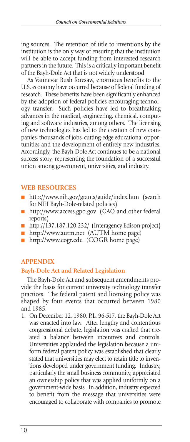ing sources. The retention of title to inventions by the institution is the only way of ensuring that the institution will be able to accept funding from interested research partners in the future. This is a critically important benefit of the Bayh-Dole Act that is not widely understood.

As Vannevar Bush foresaw, enormous benefits to the U.S. economy have occurred because of federal funding of research. These benefits have been significantly enhanced by the adoption of federal policies encouraging technology transfer. Such policies have led to breathtaking advances in the medical, engineering, chemical, computing and software industries, among others. The licensing of new technologies has led to the creation of new companies, thousands of jobs, cutting-edge educational opportunities and the development of entirely new industries. Accordingly, the Bayh-Dole Act continues to be a national success story, representing the foundation of a successful union among government, universities, and industry.

## **WEB RESOURCES**

- http://www.nih.gov/grants/guide/index.htm (search for NIH Bayh-Dole-related policies)
- http://www.access.gpo.gov (GAO and other federal reports)
- http://137.187.120.232/ (Interagency Edison project)
- http://www.autm.net (AUTM home page)
- http://www.cogr.edu (COGR home page)

## **APPENDIX**

## **Bayh-Dole Act and Related Legislation**

The Bayh-Dole Act and subsequent amendments provide the basis for current university technology transfer practices. The federal patent and licensing policy was shaped by four events that occurred between 1980 and 1985.

1. On December 12, 1980, P.L. 96-517, the Bayh-Dole Act was enacted into law. After lengthy and contentious congressional debate, legislation was crafted that created a balance between incentives and controls. Universities applauded the legislation because a uniform federal patent policy was established that clearly stated that universities may elect to retain title to inventions developed under government funding. Industry, particularly the small business community, appreciated an ownership policy that was applied uniformly on a government-wide basis. In addition, industry expected to benefit from the message that universities were encouraged to collaborate with companies to promote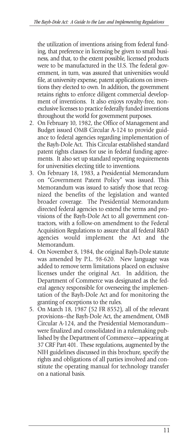the utilization of inventions arising from federal funding, that preference in licensing be given to small business, and that, to the extent possible, licensed products were to be manufactured in the U.S. The federal government, in turn, was assured that universities would file, at university expense, patent applications on inventions they elected to own. In addition, the government retains rights to enforce diligent commercial development of inventions. It also enjoys royalty-free, nonexclusive licenses to practice federally funded inventions throughout the world for government purposes.

- 2. On February 10, 1982, the Office of Management and Budget issued OMB Circular A-124 to provide guidance to federal agencies regarding implementation of the Bayh-Dole Act. This Circular established standard patent rights clauses for use in federal funding agreements. It also set up standard reporting requirements for universities electing title to inventions.
- 3. On February 18, 1983, a Presidential Memorandum on "Government Patent Policy" was issued. This Memorandum was issued to satisfy those that recognized the benefits of the legislation and wanted broader coverage. The Presidential Memorandum directed federal agencies to extend the terms and provisions of the Bayh-Dole Act to all government contractors, with a follow-on amendment to the Federal Acquisition Regulations to assure that all federal R&D agencies would implement the Act and the Memorandum.
- 4. On November 8, 1984, the original Bayh-Dole statute was amended by P.L. 98-620. New language was added to remove term limitations placed on exclusive licenses under the original Act. In addition, the Department of Commerce was designated as the federal agency responsible for overseeing the implementation of the Bayh-Dole Act and for monitoring the granting of exceptions to the rules.
- 5. On March 18, 1987 (52 FR 8552), all of the relevant provisions--the Bayh-Dole Act, the amendment, OMB Circular A-124, and the Presidential Memorandum- were finalized and consolidated in a rulemaking published by the Department of Commerce—appearing at 37 CRF Part 401. These regulations, augmented by the NIH guidelines discussed in this brochure, specify the rights and obligations of all parties involved and constitute the operating manual for technology transfer on a national basis.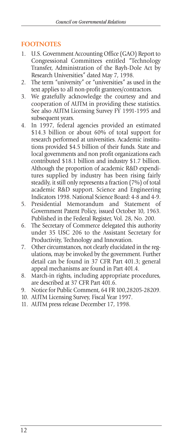# **FOOTNOTES**

- 1. U.S. Government Accounting Office (GAO) Report to Congressional Committees entitled "Technology Transfer, Administration of the Bayh-Dole Act by Research Universities" dated May 7, 1998.
- 2. The term "university" or "universities" as used in the text applies to all non-profit grantees/contractors.
- 3. We gratefully acknowledge the courtesy and and cooperation of AUTM in providing these statistics. See also AUTM Licensing Survey FY 1991-1995 and subsequent years.
- 4. In 1997, federal agencies provided an estimated \$14.3 billion or about 60% of total support for research performed at universities. Academic institutions provided \$4.5 billion of their funds. State and local governments and non profit organizations each contributed \$18.1 billion and industry \$1.7 billion. Although the proportion of academic R&D expenditures supplied by industry has been rising fairly steadily, it still only represents a fraction (7%) of total academic R&D support. Science and Engineering Indicators 1998. National Science Board: 4-8 and 4-9.
- 5. Presidential Memorandum and Statement of Government Patent Policy, issued October 10, 1963. Published in the Federal Register, Vol. 28, No. 200.
- 6. The Secretary of Commerce delegated this authority under 35 USC 206 to the Assistant Secretary for Productivity, Technology and Innovation.
- 7. Other circumstances, not clearly elucidated in the regulations, may be invoked by the government. Further detail can be found in 37 CFR Part 401.3; general appeal mechanisms are found in Part 401.4.
- 8. March-in rights, including appropriate procedures, are described at 37 CFR Part 401.6.
- 9. Notice for Public Comment, 64 FR 100,28205-28209.
- 10. AUTM Licensing Survey, Fiscal Year 1997.
- 11. AUTM press release December 17, 1998.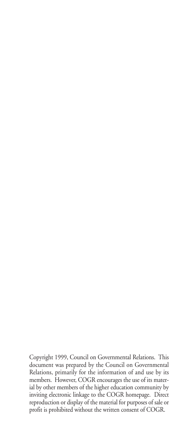Copyright 1999, Council on Governmental Relations. This document was prepared by the Council on Governmental Relations, primarily for the information of and use by its members. However, COGR encourages the use of its material by other members of the higher education community by inviting electronic linkage to the COGR homepage. Direct reproduction or display of the material for purposes of sale or profit is prohibited without the written consent of COGR.